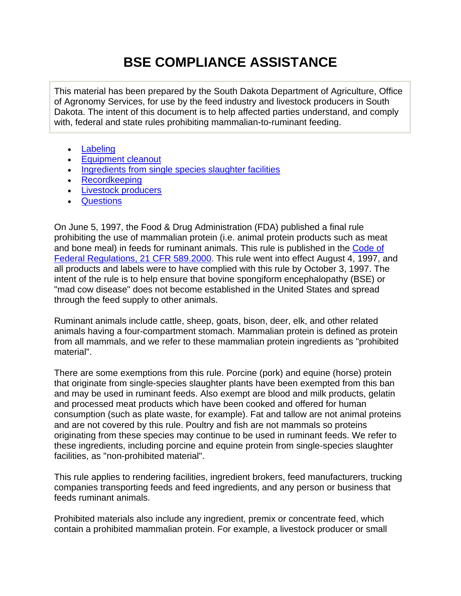# **BSE COMPLIANCE ASSISTANCE**

This material has been prepared by the South Dakota Department of Agriculture, Office of Agronomy Services, for use by the feed industry and livestock producers in South Dakota. The intent of this document is to help affected parties understand, and comply with, federal and state rules prohibiting mammalian-to-ruminant feeding.

- [Labeling](#page-1-0)
- **[Equipment cleanout](#page-2-0)**
- [Ingredients from single species slaughter facilities](#page-2-0)
- [Recordkeeping](#page-3-0)
- **[Livestock producers](#page-3-0)**
- **[Questions](#page-4-0)**

On June 5, 1997, the Food & Drug Administration (FDA) published a final rule prohibiting the use of mammalian protein (i.e. animal protein products such as meat and bone meal) in feeds for ruminant animals. This rule is published in the Code of Federal Regulations, 21 CFR 589.2000. This rule went into effect August 4, 1997, and all products and labels were to have complied with this rule by October 3, 1997. The intent of the rule is to help ensure that bovine spongiform encephalopathy (BSE) or "mad cow disease" does not become established in the United States and spread through the feed supply to other animals.

Ruminant animals include cattle, sheep, goats, bison, deer, elk, and other related animals having a four-compartment stomach. Mammalian protein is defined as protein from all mammals, and we refer to these mammalian protein ingredients as "prohibited material".

There are some exemptions from this rule. Porcine (pork) and equine (horse) protein that originate from single-species slaughter plants have been exempted from this ban and may be used in ruminant feeds. Also exempt are blood and milk products, gelatin and processed meat products which have been cooked and offered for human consumption (such as plate waste, for example). Fat and tallow are not animal proteins and are not covered by this rule. Poultry and fish are not mammals so proteins originating from these species may continue to be used in ruminant feeds. We refer to these ingredients, including porcine and equine protein from single-species slaughter facilities, as "non-prohibited material".

This rule applies to rendering facilities, ingredient brokers, feed manufacturers, trucking companies transporting feeds and feed ingredients, and any person or business that feeds ruminant animals.

Prohibited materials also include any ingredient, premix or concentrate feed, which contain a prohibited mammalian protein. For example, a livestock producer or small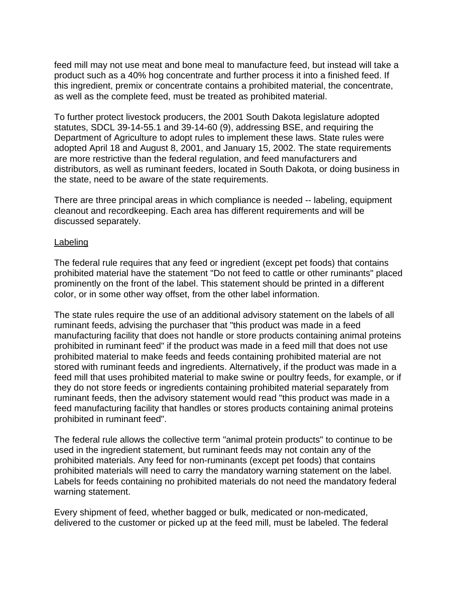<span id="page-1-0"></span>feed mill may not use meat and bone meal to manufacture feed, but instead will take a product such as a 40% hog concentrate and further process it into a finished feed. If this ingredient, premix or concentrate contains a prohibited material, the concentrate, as well as the complete feed, must be treated as prohibited material.

To further protect livestock producers, the 2001 South Dakota legislature adopted statutes, SDCL 39-14-55.1 and 39-14-60 (9), addressing BSE, and requiring the Department of Agriculture to adopt rules to implement these laws. State rules were adopted April 18 and August 8, 2001, and January 15, 2002. The state requirements are more restrictive than the federal regulation, and feed manufacturers and distributors, as well as ruminant feeders, located in South Dakota, or doing business in the state, need to be aware of the state requirements.

There are three principal areas in which compliance is needed -- labeling, equipment cleanout and recordkeeping. Each area has different requirements and will be discussed separately.

#### Labeling

The federal rule requires that any feed or ingredient (except pet foods) that contains prohibited material have the statement "Do not feed to cattle or other ruminants" placed prominently on the front of the label. This statement should be printed in a different color, or in some other way offset, from the other label information.

The state rules require the use of an additional advisory statement on the labels of all ruminant feeds, advising the purchaser that "this product was made in a feed manufacturing facility that does not handle or store products containing animal proteins prohibited in ruminant feed" if the product was made in a feed mill that does not use prohibited material to make feeds and feeds containing prohibited material are not stored with ruminant feeds and ingredients. Alternatively, if the product was made in a feed mill that uses prohibited material to make swine or poultry feeds, for example, or if they do not store feeds or ingredients containing prohibited material separately from ruminant feeds, then the advisory statement would read "this product was made in a feed manufacturing facility that handles or stores products containing animal proteins prohibited in ruminant feed".

The federal rule allows the collective term "animal protein products" to continue to be used in the ingredient statement, but ruminant feeds may not contain any of the prohibited materials. Any feed for non-ruminants (except pet foods) that contains prohibited materials will need to carry the mandatory warning statement on the label. Labels for feeds containing no prohibited materials do not need the mandatory federal warning statement.

Every shipment of feed, whether bagged or bulk, medicated or non-medicated, delivered to the customer or picked up at the feed mill, must be labeled. The federal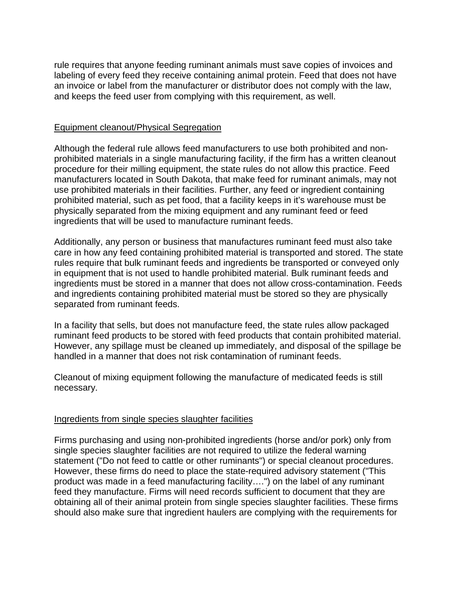<span id="page-2-0"></span>rule requires that anyone feeding ruminant animals must save copies of invoices and labeling of every feed they receive containing animal protein. Feed that does not have an invoice or label from the manufacturer or distributor does not comply with the law, and keeps the feed user from complying with this requirement, as well.

## Equipment cleanout/Physical Segregation

Although the federal rule allows feed manufacturers to use both prohibited and nonprohibited materials in a single manufacturing facility, if the firm has a written cleanout procedure for their milling equipment, the state rules do not allow this practice. Feed manufacturers located in South Dakota, that make feed for ruminant animals, may not use prohibited materials in their facilities. Further, any feed or ingredient containing prohibited material, such as pet food, that a facility keeps in it's warehouse must be physically separated from the mixing equipment and any ruminant feed or feed ingredients that will be used to manufacture ruminant feeds.

Additionally, any person or business that manufactures ruminant feed must also take care in how any feed containing prohibited material is transported and stored. The state rules require that bulk ruminant feeds and ingredients be transported or conveyed only in equipment that is not used to handle prohibited material. Bulk ruminant feeds and ingredients must be stored in a manner that does not allow cross-contamination. Feeds and ingredients containing prohibited material must be stored so they are physically separated from ruminant feeds.

In a facility that sells, but does not manufacture feed, the state rules allow packaged ruminant feed products to be stored with feed products that contain prohibited material. However, any spillage must be cleaned up immediately, and disposal of the spillage be handled in a manner that does not risk contamination of ruminant feeds.

Cleanout of mixing equipment following the manufacture of medicated feeds is still necessary.

# Ingredients from single species slaughter facilities

Firms purchasing and using non-prohibited ingredients (horse and/or pork) only from single species slaughter facilities are not required to utilize the federal warning statement ("Do not feed to cattle or other ruminants") or special cleanout procedures. However, these firms do need to place the state-required advisory statement ("This product was made in a feed manufacturing facility….") on the label of any ruminant feed they manufacture. Firms will need records sufficient to document that they are obtaining all of their animal protein from single species slaughter facilities. These firms should also make sure that ingredient haulers are complying with the requirements for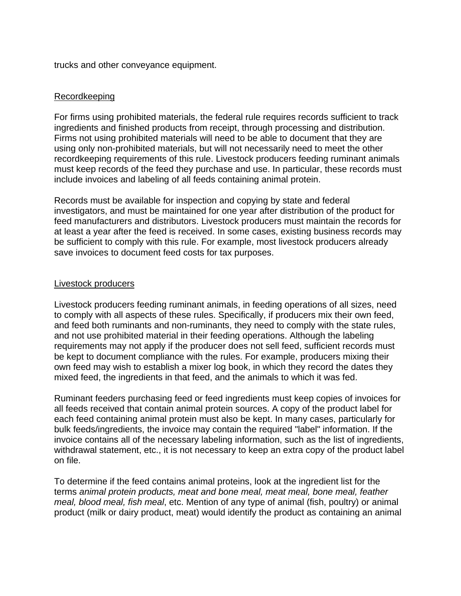<span id="page-3-0"></span>trucks and other conveyance equipment.

## Recordkeeping

For firms using prohibited materials, the federal rule requires records sufficient to track ingredients and finished products from receipt, through processing and distribution. Firms not using prohibited materials will need to be able to document that they are using only non-prohibited materials, but will not necessarily need to meet the other recordkeeping requirements of this rule. Livestock producers feeding ruminant animals must keep records of the feed they purchase and use. In particular, these records must include invoices and labeling of all feeds containing animal protein.

Records must be available for inspection and copying by state and federal investigators, and must be maintained for one year after distribution of the product for feed manufacturers and distributors. Livestock producers must maintain the records for at least a year after the feed is received. In some cases, existing business records may be sufficient to comply with this rule. For example, most livestock producers already save invoices to document feed costs for tax purposes.

#### Livestock producers

Livestock producers feeding ruminant animals, in feeding operations of all sizes, need to comply with all aspects of these rules. Specifically, if producers mix their own feed, and feed both ruminants and non-ruminants, they need to comply with the state rules, and not use prohibited material in their feeding operations. Although the labeling requirements may not apply if the producer does not sell feed, sufficient records must be kept to document compliance with the rules. For example, producers mixing their own feed may wish to establish a mixer log book, in which they record the dates they mixed feed, the ingredients in that feed, and the animals to which it was fed.

Ruminant feeders purchasing feed or feed ingredients must keep copies of invoices for all feeds received that contain animal protein sources. A copy of the product label for each feed containing animal protein must also be kept. In many cases, particularly for bulk feeds/ingredients, the invoice may contain the required "label" information. If the invoice contains all of the necessary labeling information, such as the list of ingredients, withdrawal statement, etc., it is not necessary to keep an extra copy of the product label on file.

To determine if the feed contains animal proteins, look at the ingredient list for the terms *animal protein products, meat and bone meal, meat meal, bone meal, feather meal, blood meal, fish meal*, etc. Mention of any type of animal (fish, poultry) or animal product (milk or dairy product, meat) would identify the product as containing an animal